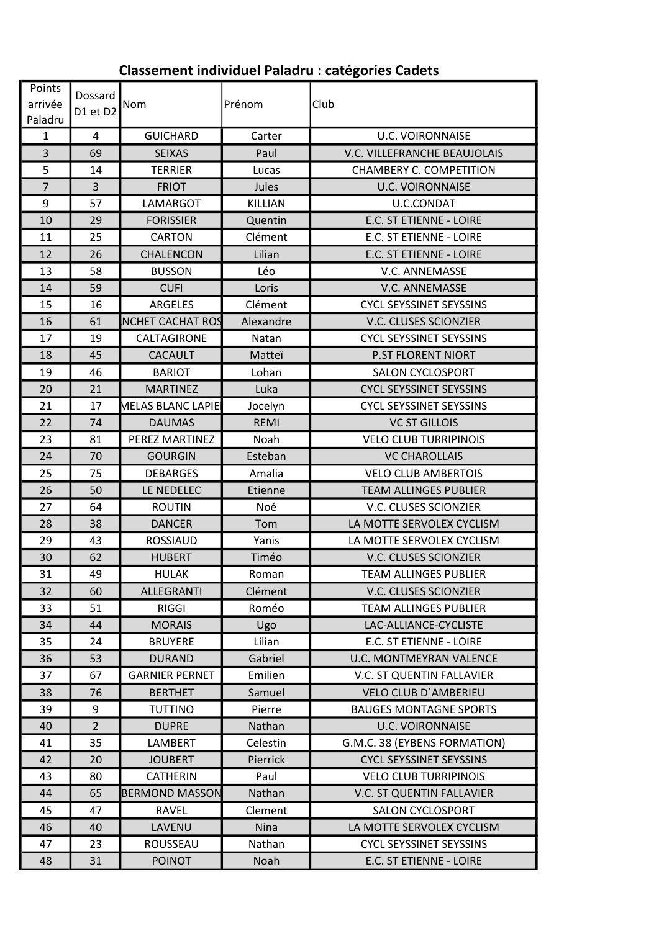## **Classement individuel Paladru : catégories Cadets**

| Points<br>arrivée<br>Paladru | Dossard<br>D1 et D2 | Nom                   | Prénom         | Club                           |
|------------------------------|---------------------|-----------------------|----------------|--------------------------------|
| $\mathbf{1}$                 | 4                   | <b>GUICHARD</b>       | Carter         | <b>U.C. VOIRONNAISE</b>        |
| 3                            | 69                  | <b>SEIXAS</b>         | Paul           | V.C. VILLEFRANCHE BEAUJOLAIS   |
| 5                            | 14                  | <b>TERRIER</b>        | Lucas          | CHAMBERY C. COMPETITION        |
| $\overline{7}$               | $\overline{3}$      | <b>FRIOT</b>          | Jules          | <b>U.C. VOIRONNAISE</b>        |
| 9                            | 57                  | LAMARGOT              | <b>KILLIAN</b> | U.C.CONDAT                     |
| 10                           | 29                  | <b>FORISSIER</b>      | Quentin        | E.C. ST ETIENNE - LOIRE        |
| 11                           | 25                  | <b>CARTON</b>         | Clément        | E.C. ST ETIENNE - LOIRE        |
| 12                           | 26                  | CHALENCON             | Lilian         | E.C. ST ETIENNE - LOIRE        |
| 13                           | 58                  | <b>BUSSON</b>         | Léo            | V.C. ANNEMASSE                 |
| 14                           | 59                  | <b>CUFI</b>           | Loris          | V.C. ANNEMASSE                 |
| 15                           | 16                  | <b>ARGELES</b>        | Clément        | <b>CYCL SEYSSINET SEYSSINS</b> |
| 16                           | 61                  | NCHET CACHAT ROS      | Alexandre      | V.C. CLUSES SCIONZIER          |
| 17                           | 19                  | CALTAGIRONE           | Natan          | <b>CYCL SEYSSINET SEYSSINS</b> |
| 18                           | 45                  | <b>CACAULT</b>        | Matteï         | <b>P.ST FLORENT NIORT</b>      |
| 19                           | 46                  | <b>BARIOT</b>         | Lohan          | <b>SALON CYCLOSPORT</b>        |
| 20                           | 21                  | <b>MARTINEZ</b>       | Luka           | <b>CYCL SEYSSINET SEYSSINS</b> |
| 21                           | 17                  | MELAS BLANC LAPIE     | Jocelyn        | <b>CYCL SEYSSINET SEYSSINS</b> |
| 22                           | 74                  | <b>DAUMAS</b>         | <b>REMI</b>    | <b>VC ST GILLOIS</b>           |
| 23                           | 81                  | PEREZ MARTINEZ        | Noah           | <b>VELO CLUB TURRIPINOIS</b>   |
| 24                           | 70                  | <b>GOURGIN</b>        | Esteban        | <b>VC CHAROLLAIS</b>           |
| 25                           | 75                  | <b>DEBARGES</b>       | Amalia         | <b>VELO CLUB AMBERTOIS</b>     |
| 26                           | 50                  | LE NEDELEC            | Etienne        | <b>TEAM ALLINGES PUBLIER</b>   |
| 27                           | 64                  | <b>ROUTIN</b>         | Noé            | V.C. CLUSES SCIONZIER          |
| 28                           | 38                  | <b>DANCER</b>         | Tom            | LA MOTTE SERVOLEX CYCLISM      |
| 29                           | 43                  | <b>ROSSIAUD</b>       | Yanis          | LA MOTTE SERVOLEX CYCLISM      |
| 30                           | 62                  | <b>HUBERT</b>         | Timéo          | V.C. CLUSES SCIONZIER          |
| 31                           | 49                  | <b>HULAK</b>          | Roman          | <b>TEAM ALLINGES PUBLIER</b>   |
| 32                           | 60                  | ALLEGRANTI            | Clément        | V.C. CLUSES SCIONZIER          |
| 33                           | 51                  | <b>RIGGI</b>          | Roméo          | <b>TEAM ALLINGES PUBLIER</b>   |
| 34                           | 44                  | <b>MORAIS</b>         | Ugo            | LAC-ALLIANCE-CYCLISTE          |
| 35                           | 24                  | <b>BRUYERE</b>        | Lilian         | E.C. ST ETIENNE - LOIRE        |
| 36                           | 53                  | <b>DURAND</b>         | Gabriel        | <b>U.C. MONTMEYRAN VALENCE</b> |
| 37                           | 67                  | <b>GARNIER PERNET</b> | Emilien        | V.C. ST QUENTIN FALLAVIER      |
| 38                           | 76                  | <b>BERTHET</b>        | Samuel         | <b>VELO CLUB D'AMBERIEU</b>    |
| 39                           | 9                   | <b>TUTTINO</b>        | Pierre         | <b>BAUGES MONTAGNE SPORTS</b>  |
| 40                           | $\overline{2}$      | <b>DUPRE</b>          | Nathan         | <b>U.C. VOIRONNAISE</b>        |
| 41                           | 35                  | LAMBERT               | Celestin       | G.M.C. 38 (EYBENS FORMATION)   |
| 42                           | 20                  | <b>JOUBERT</b>        | Pierrick       | <b>CYCL SEYSSINET SEYSSINS</b> |
| 43                           | 80                  | <b>CATHERIN</b>       | Paul           | <b>VELO CLUB TURRIPINOIS</b>   |
| 44                           | 65                  | <b>BERMOND MASSON</b> | Nathan         | V.C. ST QUENTIN FALLAVIER      |
| 45                           | 47                  | <b>RAVEL</b>          | Clement        | <b>SALON CYCLOSPORT</b>        |
| 46                           | 40                  | LAVENU                | Nina           | LA MOTTE SERVOLEX CYCLISM      |
| 47                           | 23                  | ROUSSEAU              | Nathan         | <b>CYCL SEYSSINET SEYSSINS</b> |
| 48                           | 31                  | <b>POINOT</b>         | Noah           | E.C. ST ETIENNE - LOIRE        |